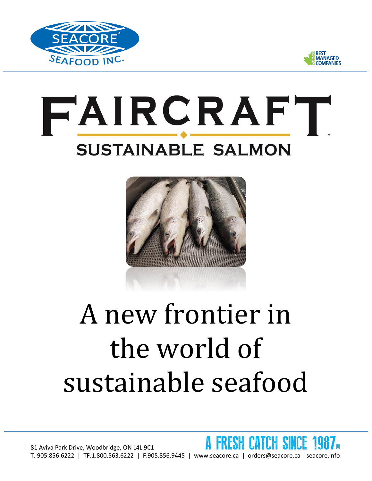



## FAIRCRAFT **SUSTAINABLE SALMON**



## A new frontier in the world of sustainable seafood